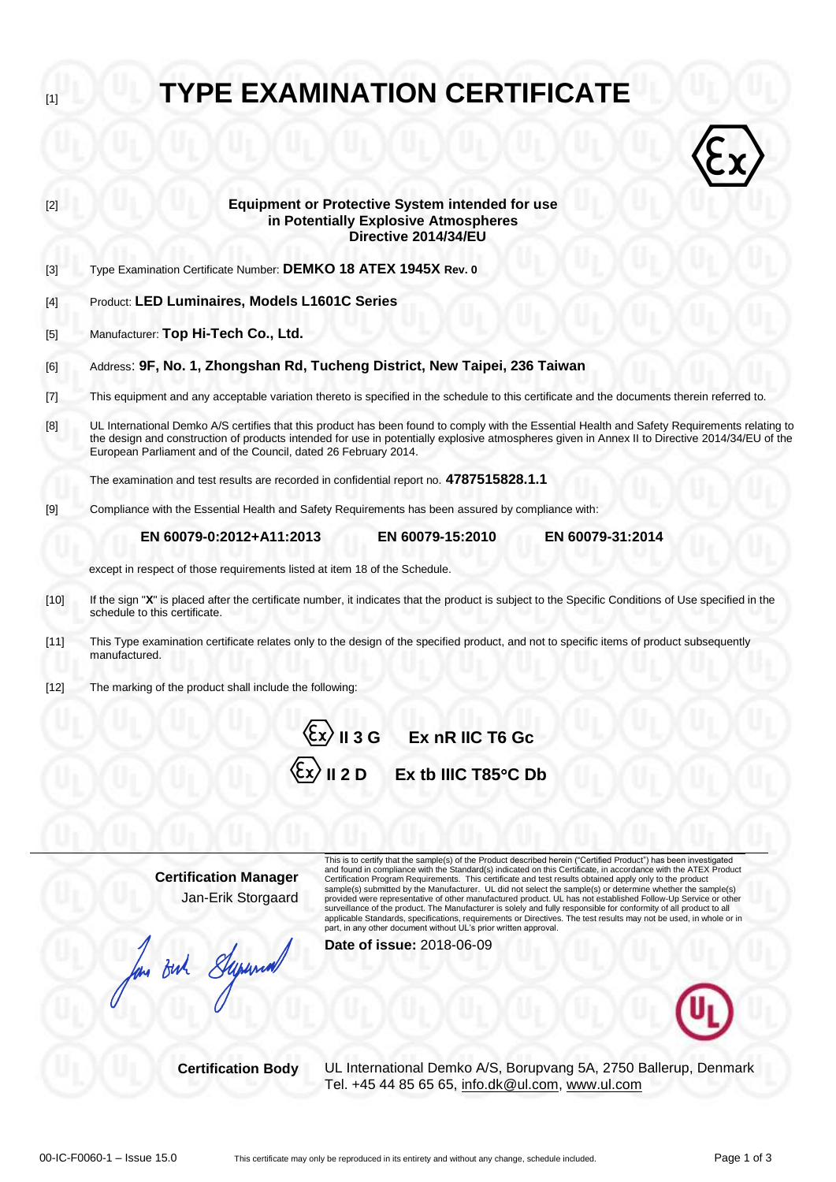# [1] **TYPE EXAMINATION CERTIFICATE**



| $[2]$  | <b>Equipment or Protective System intended for use</b><br>in Potentially Explosive Atmospheres                                                                                                                                                                                                                                                                                                                                                                                                                    |  |  |  |  |  |  |  |  |  |  |
|--------|-------------------------------------------------------------------------------------------------------------------------------------------------------------------------------------------------------------------------------------------------------------------------------------------------------------------------------------------------------------------------------------------------------------------------------------------------------------------------------------------------------------------|--|--|--|--|--|--|--|--|--|--|
|        | Directive 2014/34/EU                                                                                                                                                                                                                                                                                                                                                                                                                                                                                              |  |  |  |  |  |  |  |  |  |  |
| $[3]$  | Type Examination Certificate Number: DEMKO 18 ATEX 1945X Rev. 0                                                                                                                                                                                                                                                                                                                                                                                                                                                   |  |  |  |  |  |  |  |  |  |  |
| $[4]$  | Product: LED Luminaires, Models L1601C Series                                                                                                                                                                                                                                                                                                                                                                                                                                                                     |  |  |  |  |  |  |  |  |  |  |
| $[5]$  | Manufacturer: Top Hi-Tech Co., Ltd.                                                                                                                                                                                                                                                                                                                                                                                                                                                                               |  |  |  |  |  |  |  |  |  |  |
| [6]    | Address: 9F, No. 1, Zhongshan Rd, Tucheng District, New Taipei, 236 Taiwan                                                                                                                                                                                                                                                                                                                                                                                                                                        |  |  |  |  |  |  |  |  |  |  |
| $[7]$  | This equipment and any acceptable variation thereto is specified in the schedule to this certificate and the documents therein referred to.                                                                                                                                                                                                                                                                                                                                                                       |  |  |  |  |  |  |  |  |  |  |
| [8]    | UL International Demko A/S certifies that this product has been found to comply with the Essential Health and Safety Requirements relating to<br>the design and construction of products intended for use in potentially explosive atmospheres given in Annex II to Directive 2014/34/EU of the<br>European Parliament and of the Council, dated 26 February 2014.                                                                                                                                                |  |  |  |  |  |  |  |  |  |  |
|        | The examination and test results are recorded in confidential report no. 4787515828.1.1                                                                                                                                                                                                                                                                                                                                                                                                                           |  |  |  |  |  |  |  |  |  |  |
| [9]    | Compliance with the Essential Health and Safety Requirements has been assured by compliance with:                                                                                                                                                                                                                                                                                                                                                                                                                 |  |  |  |  |  |  |  |  |  |  |
|        | EN 60079-0:2012+A11:2013<br>EN 60079-31:2014<br>EN 60079-15:2010                                                                                                                                                                                                                                                                                                                                                                                                                                                  |  |  |  |  |  |  |  |  |  |  |
|        | except in respect of those requirements listed at item 18 of the Schedule.                                                                                                                                                                                                                                                                                                                                                                                                                                        |  |  |  |  |  |  |  |  |  |  |
| $[10]$ | If the sign "X" is placed after the certificate number, it indicates that the product is subject to the Specific Conditions of Use specified in the<br>schedule to this certificate.                                                                                                                                                                                                                                                                                                                              |  |  |  |  |  |  |  |  |  |  |
| [11]   | This Type examination certificate relates only to the design of the specified product, and not to specific items of product subsequently<br>manufactured.                                                                                                                                                                                                                                                                                                                                                         |  |  |  |  |  |  |  |  |  |  |
| $[12]$ | The marking of the product shall include the following:                                                                                                                                                                                                                                                                                                                                                                                                                                                           |  |  |  |  |  |  |  |  |  |  |
|        | $\langle \xi x \rangle$ II 3 G Ex nR IIC T6 Gc                                                                                                                                                                                                                                                                                                                                                                                                                                                                    |  |  |  |  |  |  |  |  |  |  |
|        | $\langle \xi$ x $\rangle$ II 2 D<br>Ex tb IIIC T85°C Db                                                                                                                                                                                                                                                                                                                                                                                                                                                           |  |  |  |  |  |  |  |  |  |  |
|        |                                                                                                                                                                                                                                                                                                                                                                                                                                                                                                                   |  |  |  |  |  |  |  |  |  |  |
|        | This is to certify that the sample(s) of the Product described herein ("Certified Product") has been investigated                                                                                                                                                                                                                                                                                                                                                                                                 |  |  |  |  |  |  |  |  |  |  |
|        | and found in compliance with the Standard(s) indicated on this Certificate, in accordance with the ATEX Product<br><b>Certification Manager</b><br>Certification Program Requirements. This certificate and test results obtained apply only to the product<br>sample(s) submitted by the Manufacturer. UL did not select the sample(s) or determine whether the sample(s)<br>Jan-Erik Storgaard<br>provided were representative of other manufactured product. UL has not established Follow-Up Service or other |  |  |  |  |  |  |  |  |  |  |
|        | surveillance of the product. The Manufacturer is solely and fully responsible for conformity of all product to all<br>applicable Standards, specifications, requirements or Directives. The test results may not be used, in whole or in<br>part, in any other document without UL's prior written approval.                                                                                                                                                                                                      |  |  |  |  |  |  |  |  |  |  |
|        | Date of issue: 2018-06-09<br>for out Superior                                                                                                                                                                                                                                                                                                                                                                                                                                                                     |  |  |  |  |  |  |  |  |  |  |

**Certification Body** UL International Demko A/S, Borupvang 5A, 2750 Ballerup, Denmark Tel. +45 44 85 65 65, [info.dk@ul.com,](mailto:info.dk@ul.com) [www.ul.com](http://www.ul.com/)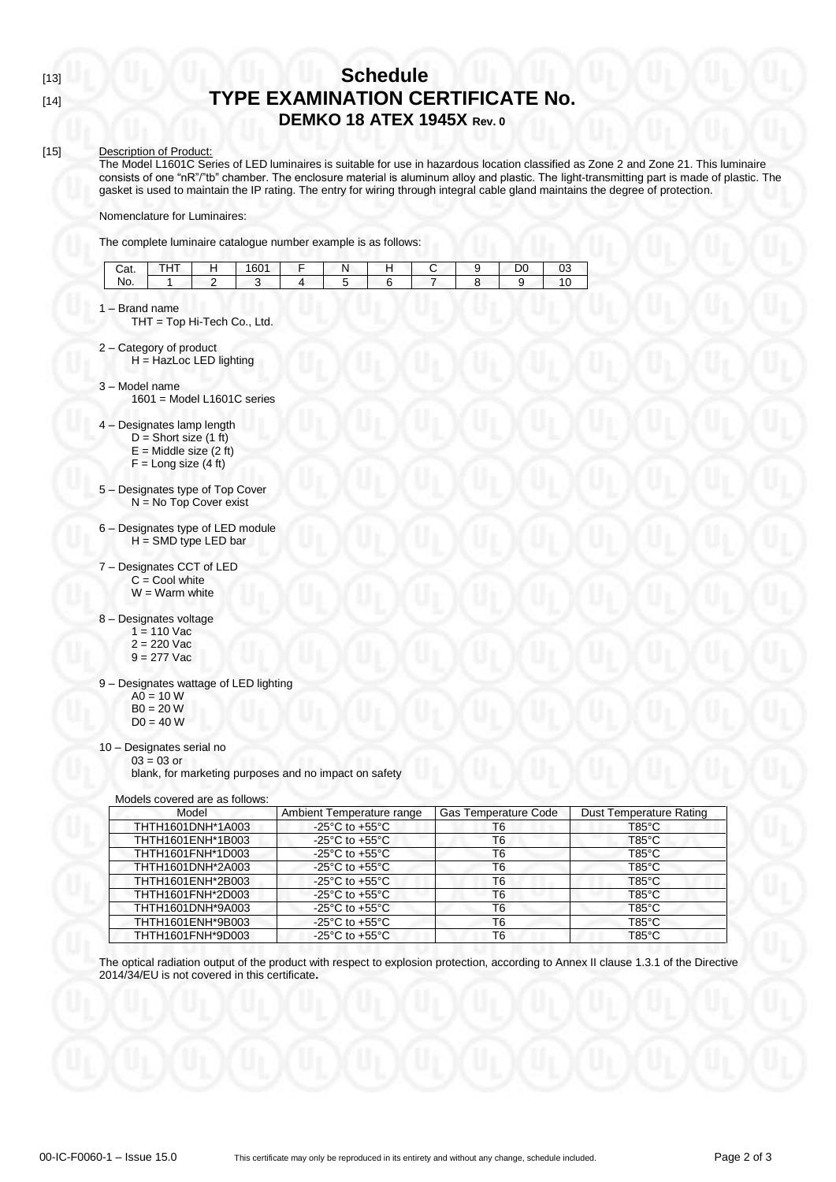# [13] **Schedule** [14] **TYPE EXAMINATION CERTIFICATE No. DEMKO 18 ATEX 1945X Rev. 0**

# [15] Description of Product:

The Model L1601C Series of LED luminaires is suitable for use in hazardous location classified as Zone 2 and Zone 21. This luminaire consists of one "nR"/"tb" chamber. The enclosure material is aluminum alloy and plastic. The light-transmitting part is made of plastic. The gasket is used to maintain the IP rating. The entry for wiring through integral cable gland maintains the degree of protection.

Nomenclature for Luminaires:

The complete luminaire catalogue number example is as follows:

| $\sim$<br>Udl. | ---<br>. | 1601<br>ו טס | w |  | $\sim$<br>◡ |  |
|----------------|----------|--------------|---|--|-------------|--|
| No.            |          |              |   |  |             |  |

1 – Brand name

THT = Top Hi-Tech Co., Ltd.

- 2 Category of product H = HazLoc LED lighting
- 3 Model name
	- 1601 = Model L1601C series
- 4 Designates lamp length
	- $D =$  Short size (1 ft)
	- $E =$  Middle size (2 ft)
	- $F =$  Long size (4 ft)
- 5 Designates type of Top Cover N = No Top Cover exist
- 6 Designates type of LED module H = SMD type LED bar
- 7 Designates CCT of LED  $C =$  Cool white  $W = Warm$  white
- 8 Designates voltage
	- $1 = 110$  Vac  $2 = 220$  Vac
	- $9 = 277$  Vac
- 9 Designates wattage of LED lighting
	- $AO = 10 W$
	- $B0 = 20 W$
	- $D0 = 40 W$

#### 10 – Designates serial no  $03 = 03$  or

blank, for marketing purposes and no impact on safety

Models covered are as follows:

| Model             | Ambient Temperature range                            | Gas Temperature Code | <b>Dust Temperature Rating</b> |  |
|-------------------|------------------------------------------------------|----------------------|--------------------------------|--|
| THTH1601DNH*1A003 | $-25^{\circ}$ C to $+55^{\circ}$ C                   | T6                   | $T85^{\circ}$ C                |  |
| THTH1601ENH*1B003 | -25 $^{\circ}$ C to +55 $^{\circ}$ C                 | T6                   | $T85^{\circ}$ C                |  |
| THTH1601FNH*1D003 | -25 $^{\circ}$ C to +55 $^{\circ}$ C                 | T6                   | $T85^{\circ}$ C                |  |
| THTH1601DNH*2A003 | -25 $^{\circ}$ C to +55 $^{\circ}$ C                 | T <sub>6</sub>       | $T85^{\circ}$ C                |  |
| THTH1601ENH*2B003 | -25 $\mathrm{^{\circ}C}$ to +55 $\mathrm{^{\circ}C}$ | T6                   | $T85^{\circ}$ C                |  |
| THTH1601FNH*2D003 | -25 $^{\circ}$ C to +55 $^{\circ}$ C                 | T <sub>6</sub>       | $T85^{\circ}$ C                |  |
| THTH1601DNH*9A003 | -25 $^{\circ}$ C to +55 $^{\circ}$ C                 | T <sub>6</sub>       | $T85^{\circ}$ C                |  |
| THTH1601ENH*9B003 | -25 $^{\circ}$ C to +55 $^{\circ}$ C                 | T6                   | $T85^{\circ}$ C                |  |
| THTH1601FNH*9D003 | $-25^{\circ}$ C to $+55^{\circ}$ C                   | T6                   | $T85^{\circ}$ C                |  |

The optical radiation output of the product with respect to explosion protection, according to Annex II clause 1.3.1 of the Directive 2014/34/EU is not covered in this certificate**.**